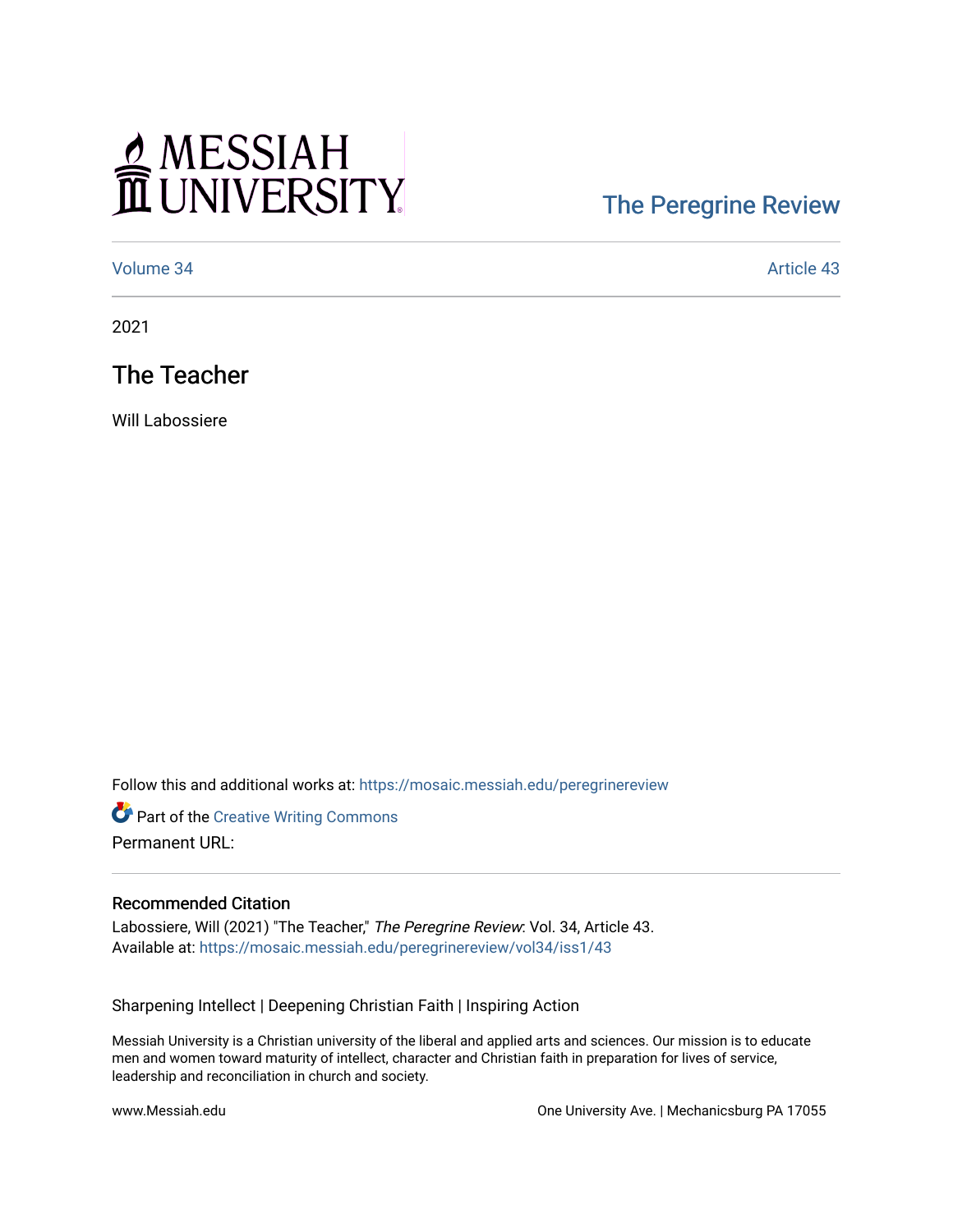## MESSIAH

## [The Peregrine Review](https://mosaic.messiah.edu/peregrinereview)

[Volume 34](https://mosaic.messiah.edu/peregrinereview/vol34) Article 43

2021

The Teacher

Will Labossiere

Follow this and additional works at: [https://mosaic.messiah.edu/peregrinereview](https://mosaic.messiah.edu/peregrinereview?utm_source=mosaic.messiah.edu%2Fperegrinereview%2Fvol34%2Fiss1%2F43&utm_medium=PDF&utm_campaign=PDFCoverPages) 

**Part of the Creative Writing Commons** Permanent URL:

## Recommended Citation

Labossiere, Will (2021) "The Teacher," The Peregrine Review: Vol. 34, Article 43. Available at: [https://mosaic.messiah.edu/peregrinereview/vol34/iss1/43](https://mosaic.messiah.edu/peregrinereview/vol34/iss1/43?utm_source=mosaic.messiah.edu%2Fperegrinereview%2Fvol34%2Fiss1%2F43&utm_medium=PDF&utm_campaign=PDFCoverPages)

Sharpening Intellect | Deepening Christian Faith | Inspiring Action

Messiah University is a Christian university of the liberal and applied arts and sciences. Our mission is to educate men and women toward maturity of intellect, character and Christian faith in preparation for lives of service, leadership and reconciliation in church and society.

www.Messiah.edu One University Ave. | Mechanicsburg PA 17055